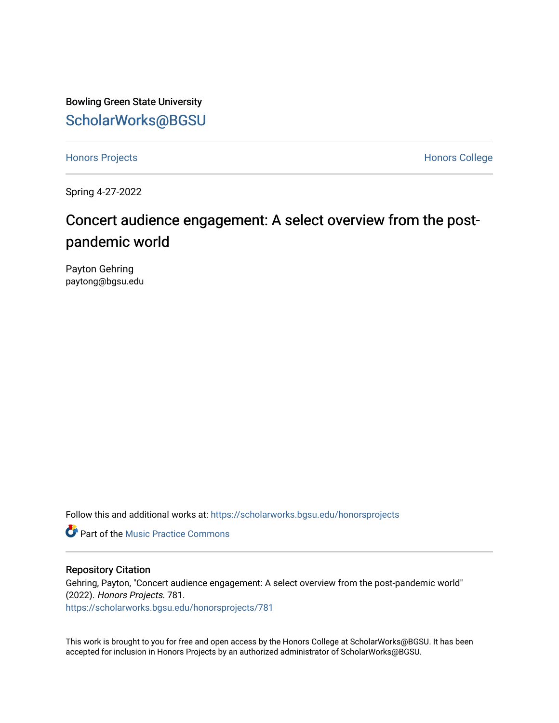Bowling Green State University [ScholarWorks@BGSU](https://scholarworks.bgsu.edu/) 

[Honors Projects](https://scholarworks.bgsu.edu/honorsprojects) **Honors** College

Spring 4-27-2022

## Concert audience engagement: A select overview from the postpandemic world

Payton Gehring paytong@bgsu.edu

Follow this and additional works at: [https://scholarworks.bgsu.edu/honorsprojects](https://scholarworks.bgsu.edu/honorsprojects?utm_source=scholarworks.bgsu.edu%2Fhonorsprojects%2F781&utm_medium=PDF&utm_campaign=PDFCoverPages) 

**C** Part of the Music Practice Commons

## Repository Citation

Gehring, Payton, "Concert audience engagement: A select overview from the post-pandemic world" (2022). Honors Projects. 781. [https://scholarworks.bgsu.edu/honorsprojects/781](https://scholarworks.bgsu.edu/honorsprojects/781?utm_source=scholarworks.bgsu.edu%2Fhonorsprojects%2F781&utm_medium=PDF&utm_campaign=PDFCoverPages) 

This work is brought to you for free and open access by the Honors College at ScholarWorks@BGSU. It has been accepted for inclusion in Honors Projects by an authorized administrator of ScholarWorks@BGSU.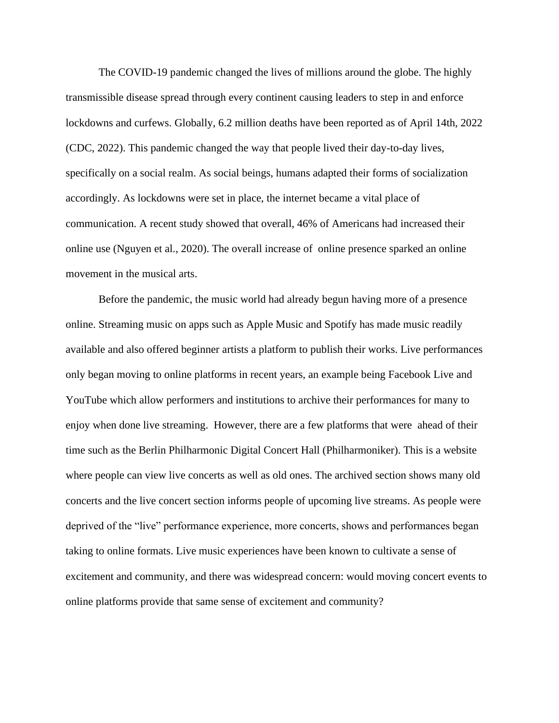The COVID-19 pandemic changed the lives of millions around the globe. The highly transmissible disease spread through every continent causing leaders to step in and enforce lockdowns and curfews. Globally, 6.2 million deaths have been reported as of April 14th, 2022 (CDC, 2022). This pandemic changed the way that people lived their day-to-day lives, specifically on a social realm. As social beings, humans adapted their forms of socialization accordingly. As lockdowns were set in place, the internet became a vital place of communication. A recent study showed that overall, 46% of Americans had increased their online use (Nguyen et al., 2020). The overall increase of online presence sparked an online movement in the musical arts.

Before the pandemic, the music world had already begun having more of a presence online. Streaming music on apps such as Apple Music and Spotify has made music readily available and also offered beginner artists a platform to publish their works. Live performances only began moving to online platforms in recent years, an example being Facebook Live and YouTube which allow performers and institutions to archive their performances for many to enjoy when done live streaming. However, there are a few platforms that were ahead of their time such as the Berlin Philharmonic Digital Concert Hall (Philharmoniker). This is a website where people can view live concerts as well as old ones. The archived section shows many old concerts and the live concert section informs people of upcoming live streams. As people were deprived of the "live" performance experience, more concerts, shows and performances began taking to online formats. Live music experiences have been known to cultivate a sense of excitement and community, and there was widespread concern: would moving concert events to online platforms provide that same sense of excitement and community?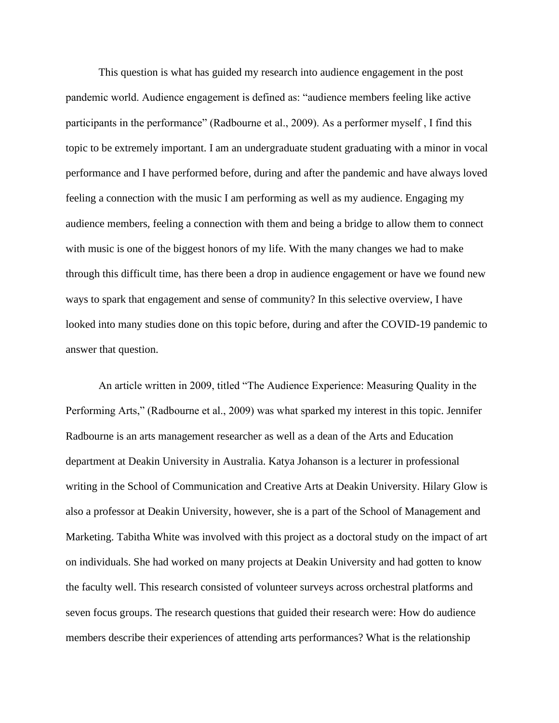This question is what has guided my research into audience engagement in the post pandemic world. Audience engagement is defined as: "audience members feeling like active participants in the performance" (Radbourne et al., 2009). As a performer myself , I find this topic to be extremely important. I am an undergraduate student graduating with a minor in vocal performance and I have performed before, during and after the pandemic and have always loved feeling a connection with the music I am performing as well as my audience. Engaging my audience members, feeling a connection with them and being a bridge to allow them to connect with music is one of the biggest honors of my life. With the many changes we had to make through this difficult time, has there been a drop in audience engagement or have we found new ways to spark that engagement and sense of community? In this selective overview, I have looked into many studies done on this topic before, during and after the COVID-19 pandemic to answer that question.

An article written in 2009, titled "The Audience Experience: Measuring Quality in the Performing Arts," (Radbourne et al., 2009) was what sparked my interest in this topic. Jennifer Radbourne is an arts management researcher as well as a dean of the Arts and Education department at Deakin University in Australia. Katya Johanson is a lecturer in professional writing in the School of Communication and Creative Arts at Deakin University. Hilary Glow is also a professor at Deakin University, however, she is a part of the School of Management and Marketing. Tabitha White was involved with this project as a doctoral study on the impact of art on individuals. She had worked on many projects at Deakin University and had gotten to know the faculty well. This research consisted of volunteer surveys across orchestral platforms and seven focus groups. The research questions that guided their research were: How do audience members describe their experiences of attending arts performances? What is the relationship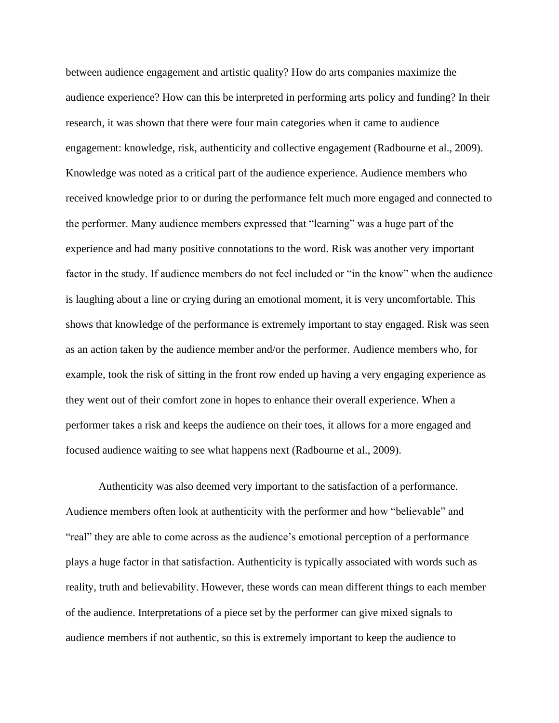between audience engagement and artistic quality? How do arts companies maximize the audience experience? How can this be interpreted in performing arts policy and funding? In their research, it was shown that there were four main categories when it came to audience engagement: knowledge, risk, authenticity and collective engagement (Radbourne et al., 2009). Knowledge was noted as a critical part of the audience experience. Audience members who received knowledge prior to or during the performance felt much more engaged and connected to the performer. Many audience members expressed that "learning" was a huge part of the experience and had many positive connotations to the word. Risk was another very important factor in the study. If audience members do not feel included or "in the know" when the audience is laughing about a line or crying during an emotional moment, it is very uncomfortable. This shows that knowledge of the performance is extremely important to stay engaged. Risk was seen as an action taken by the audience member and/or the performer. Audience members who, for example, took the risk of sitting in the front row ended up having a very engaging experience as they went out of their comfort zone in hopes to enhance their overall experience. When a performer takes a risk and keeps the audience on their toes, it allows for a more engaged and focused audience waiting to see what happens next (Radbourne et al., 2009).

Authenticity was also deemed very important to the satisfaction of a performance. Audience members often look at authenticity with the performer and how "believable" and "real" they are able to come across as the audience's emotional perception of a performance plays a huge factor in that satisfaction. Authenticity is typically associated with words such as reality, truth and believability. However, these words can mean different things to each member of the audience. Interpretations of a piece set by the performer can give mixed signals to audience members if not authentic, so this is extremely important to keep the audience to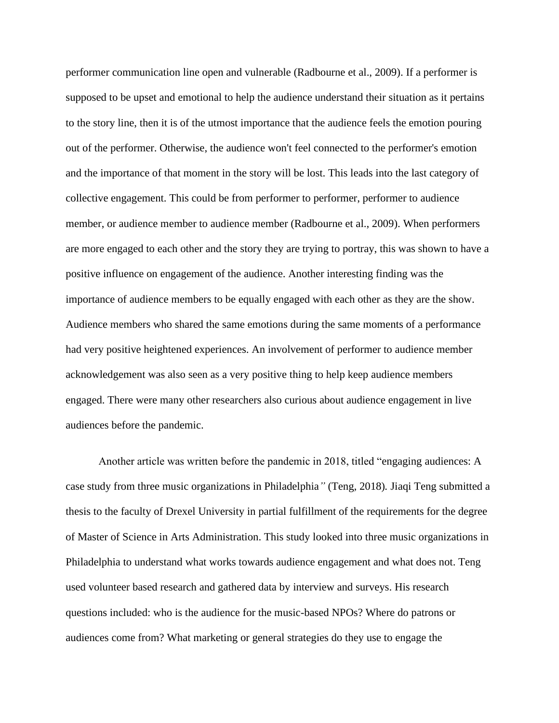performer communication line open and vulnerable (Radbourne et al., 2009). If a performer is supposed to be upset and emotional to help the audience understand their situation as it pertains to the story line, then it is of the utmost importance that the audience feels the emotion pouring out of the performer. Otherwise, the audience won't feel connected to the performer's emotion and the importance of that moment in the story will be lost. This leads into the last category of collective engagement. This could be from performer to performer, performer to audience member, or audience member to audience member (Radbourne et al., 2009). When performers are more engaged to each other and the story they are trying to portray, this was shown to have a positive influence on engagement of the audience. Another interesting finding was the importance of audience members to be equally engaged with each other as they are the show. Audience members who shared the same emotions during the same moments of a performance had very positive heightened experiences. An involvement of performer to audience member acknowledgement was also seen as a very positive thing to help keep audience members engaged. There were many other researchers also curious about audience engagement in live audiences before the pandemic.

Another article was written before the pandemic in 2018, titled "engaging audiences: A case study from three music organizations in Philadelphia*"* (Teng, 2018)*.* Jiaqi Teng submitted a thesis to the faculty of Drexel University in partial fulfillment of the requirements for the degree of Master of Science in Arts Administration. This study looked into three music organizations in Philadelphia to understand what works towards audience engagement and what does not. Teng used volunteer based research and gathered data by interview and surveys. His research questions included: who is the audience for the music-based NPOs? Where do patrons or audiences come from? What marketing or general strategies do they use to engage the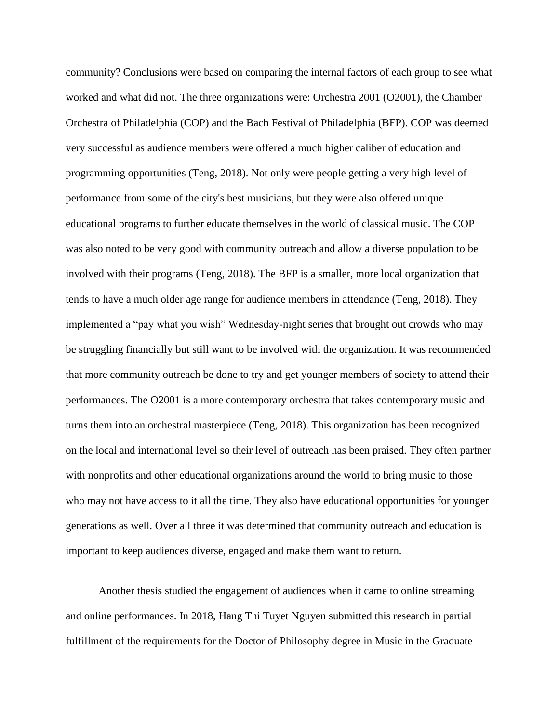community? Conclusions were based on comparing the internal factors of each group to see what worked and what did not. The three organizations were: Orchestra 2001 (O2001), the Chamber Orchestra of Philadelphia (COP) and the Bach Festival of Philadelphia (BFP). COP was deemed very successful as audience members were offered a much higher caliber of education and programming opportunities (Teng, 2018). Not only were people getting a very high level of performance from some of the city's best musicians, but they were also offered unique educational programs to further educate themselves in the world of classical music. The COP was also noted to be very good with community outreach and allow a diverse population to be involved with their programs (Teng, 2018). The BFP is a smaller, more local organization that tends to have a much older age range for audience members in attendance (Teng, 2018). They implemented a "pay what you wish" Wednesday-night series that brought out crowds who may be struggling financially but still want to be involved with the organization. It was recommended that more community outreach be done to try and get younger members of society to attend their performances. The O2001 is a more contemporary orchestra that takes contemporary music and turns them into an orchestral masterpiece (Teng, 2018). This organization has been recognized on the local and international level so their level of outreach has been praised. They often partner with nonprofits and other educational organizations around the world to bring music to those who may not have access to it all the time. They also have educational opportunities for younger generations as well. Over all three it was determined that community outreach and education is important to keep audiences diverse, engaged and make them want to return.

Another thesis studied the engagement of audiences when it came to online streaming and online performances. In 2018, Hang Thi Tuyet Nguyen submitted this research in partial fulfillment of the requirements for the Doctor of Philosophy degree in Music in the Graduate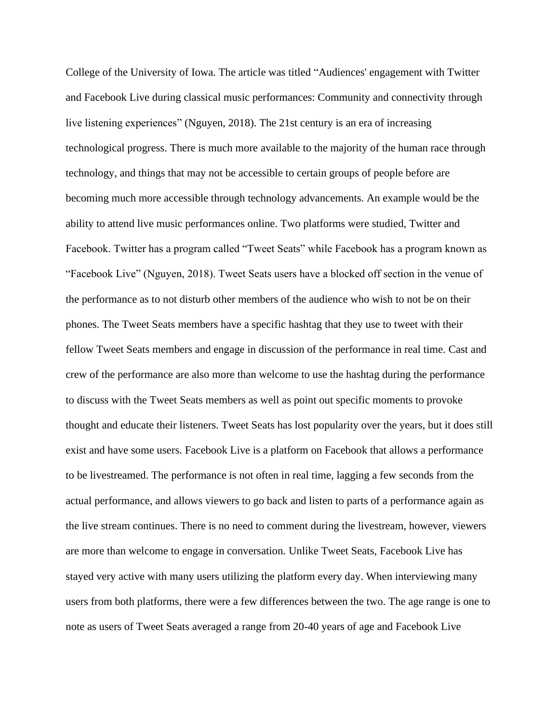College of the University of Iowa. The article was titled "Audiences' engagement with Twitter and Facebook Live during classical music performances: Community and connectivity through live listening experiences" (Nguyen, 2018). The 21st century is an era of increasing technological progress. There is much more available to the majority of the human race through technology, and things that may not be accessible to certain groups of people before are becoming much more accessible through technology advancements. An example would be the ability to attend live music performances online. Two platforms were studied, Twitter and Facebook. Twitter has a program called "Tweet Seats" while Facebook has a program known as "Facebook Live" (Nguyen, 2018). Tweet Seats users have a blocked off section in the venue of the performance as to not disturb other members of the audience who wish to not be on their phones. The Tweet Seats members have a specific hashtag that they use to tweet with their fellow Tweet Seats members and engage in discussion of the performance in real time. Cast and crew of the performance are also more than welcome to use the hashtag during the performance to discuss with the Tweet Seats members as well as point out specific moments to provoke thought and educate their listeners. Tweet Seats has lost popularity over the years, but it does still exist and have some users. Facebook Live is a platform on Facebook that allows a performance to be livestreamed. The performance is not often in real time, lagging a few seconds from the actual performance, and allows viewers to go back and listen to parts of a performance again as the live stream continues. There is no need to comment during the livestream, however, viewers are more than welcome to engage in conversation. Unlike Tweet Seats, Facebook Live has stayed very active with many users utilizing the platform every day. When interviewing many users from both platforms, there were a few differences between the two. The age range is one to note as users of Tweet Seats averaged a range from 20-40 years of age and Facebook Live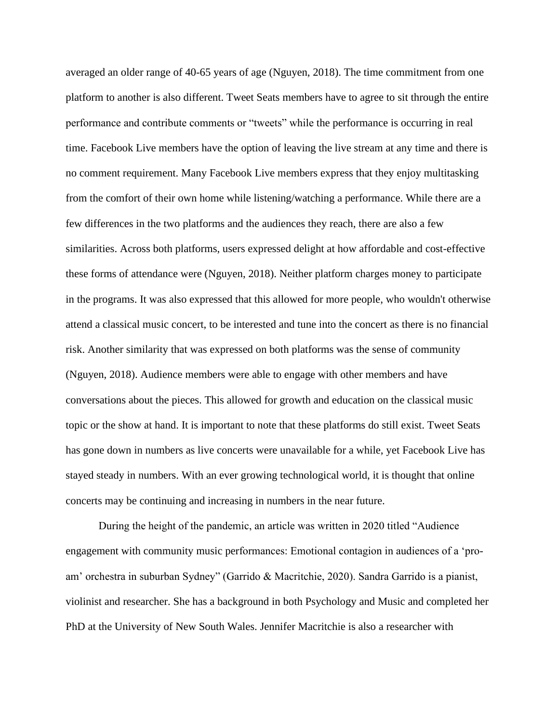averaged an older range of 40-65 years of age (Nguyen, 2018). The time commitment from one platform to another is also different. Tweet Seats members have to agree to sit through the entire performance and contribute comments or "tweets" while the performance is occurring in real time. Facebook Live members have the option of leaving the live stream at any time and there is no comment requirement. Many Facebook Live members express that they enjoy multitasking from the comfort of their own home while listening/watching a performance. While there are a few differences in the two platforms and the audiences they reach, there are also a few similarities. Across both platforms, users expressed delight at how affordable and cost-effective these forms of attendance were (Nguyen, 2018). Neither platform charges money to participate in the programs. It was also expressed that this allowed for more people, who wouldn't otherwise attend a classical music concert, to be interested and tune into the concert as there is no financial risk. Another similarity that was expressed on both platforms was the sense of community (Nguyen, 2018). Audience members were able to engage with other members and have conversations about the pieces. This allowed for growth and education on the classical music topic or the show at hand. It is important to note that these platforms do still exist. Tweet Seats has gone down in numbers as live concerts were unavailable for a while, yet Facebook Live has stayed steady in numbers. With an ever growing technological world, it is thought that online concerts may be continuing and increasing in numbers in the near future.

During the height of the pandemic, an article was written in 2020 titled "Audience engagement with community music performances: Emotional contagion in audiences of a 'proam' orchestra in suburban Sydney" (Garrido & Macritchie, 2020). Sandra Garrido is a pianist, violinist and researcher. She has a background in both Psychology and Music and completed her PhD at the University of New South Wales. Jennifer Macritchie is also a researcher with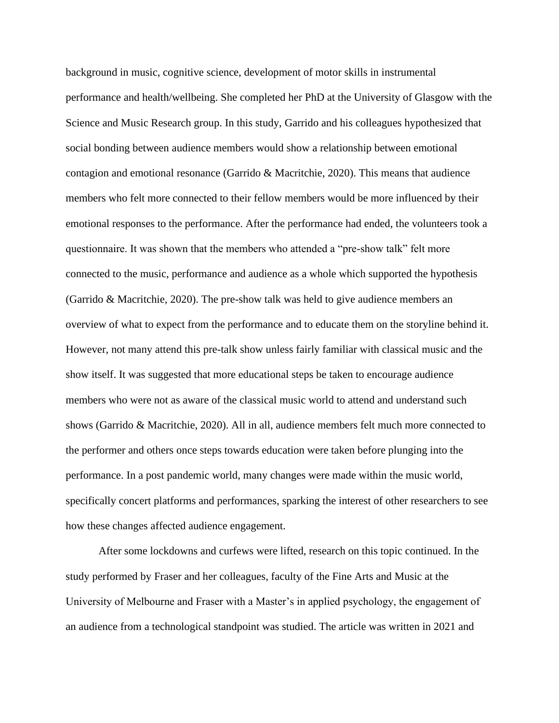background in music, cognitive science, development of motor skills in instrumental performance and health/wellbeing. She completed her PhD at the University of Glasgow with the Science and Music Research group. In this study, Garrido and his colleagues hypothesized that social bonding between audience members would show a relationship between emotional contagion and emotional resonance (Garrido & Macritchie, 2020). This means that audience members who felt more connected to their fellow members would be more influenced by their emotional responses to the performance. After the performance had ended, the volunteers took a questionnaire. It was shown that the members who attended a "pre-show talk" felt more connected to the music, performance and audience as a whole which supported the hypothesis (Garrido & Macritchie, 2020). The pre-show talk was held to give audience members an overview of what to expect from the performance and to educate them on the storyline behind it. However, not many attend this pre-talk show unless fairly familiar with classical music and the show itself. It was suggested that more educational steps be taken to encourage audience members who were not as aware of the classical music world to attend and understand such shows (Garrido & Macritchie, 2020). All in all, audience members felt much more connected to the performer and others once steps towards education were taken before plunging into the performance. In a post pandemic world, many changes were made within the music world, specifically concert platforms and performances, sparking the interest of other researchers to see how these changes affected audience engagement.

After some lockdowns and curfews were lifted, research on this topic continued. In the study performed by Fraser and her colleagues, faculty of the Fine Arts and Music at the University of Melbourne and Fraser with a Master's in applied psychology, the engagement of an audience from a technological standpoint was studied. The article was written in 2021 and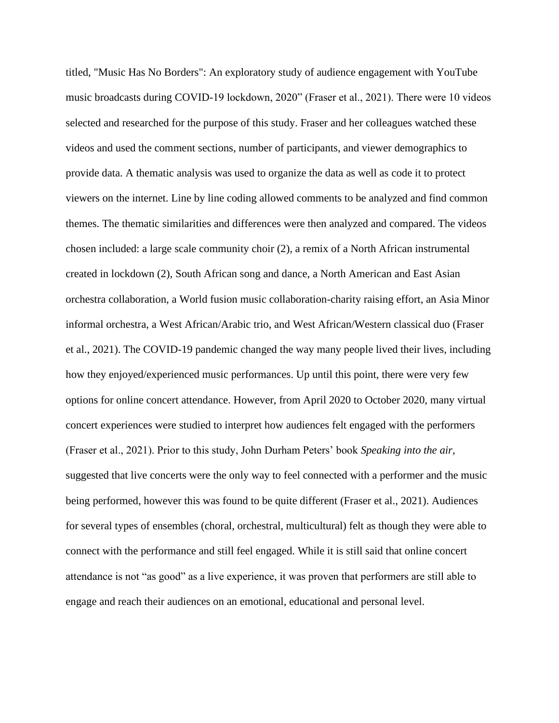titled, "Music Has No Borders": An exploratory study of audience engagement with YouTube music broadcasts during COVID-19 lockdown, 2020" (Fraser et al., 2021). There were 10 videos selected and researched for the purpose of this study. Fraser and her colleagues watched these videos and used the comment sections, number of participants, and viewer demographics to provide data. A thematic analysis was used to organize the data as well as code it to protect viewers on the internet. Line by line coding allowed comments to be analyzed and find common themes. The thematic similarities and differences were then analyzed and compared. The videos chosen included: a large scale community choir (2), a remix of a North African instrumental created in lockdown (2), South African song and dance, a North American and East Asian orchestra collaboration, a World fusion music collaboration-charity raising effort, an Asia Minor informal orchestra, a West African/Arabic trio, and West African/Western classical duo (Fraser et al., 2021). The COVID-19 pandemic changed the way many people lived their lives, including how they enjoyed/experienced music performances. Up until this point, there were very few options for online concert attendance. However, from April 2020 to October 2020, many virtual concert experiences were studied to interpret how audiences felt engaged with the performers (Fraser et al., 2021). Prior to this study, John Durham Peters' book *Speaking into the air*, suggested that live concerts were the only way to feel connected with a performer and the music being performed, however this was found to be quite different (Fraser et al., 2021). Audiences for several types of ensembles (choral, orchestral, multicultural) felt as though they were able to connect with the performance and still feel engaged. While it is still said that online concert attendance is not "as good" as a live experience, it was proven that performers are still able to engage and reach their audiences on an emotional, educational and personal level.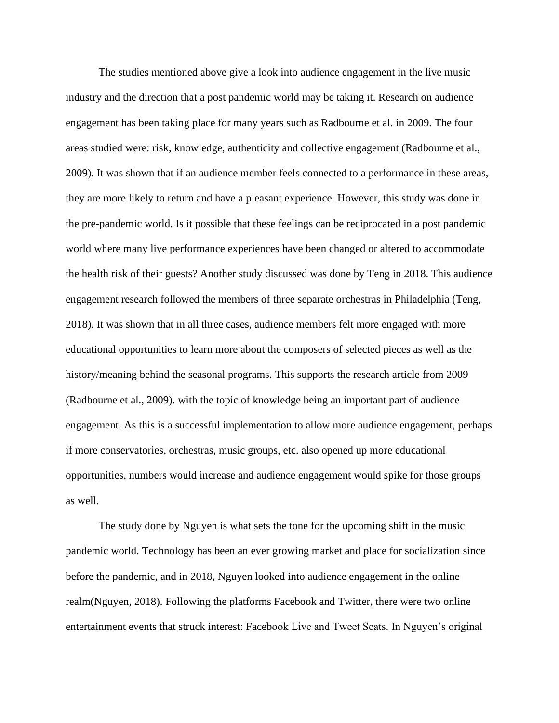The studies mentioned above give a look into audience engagement in the live music industry and the direction that a post pandemic world may be taking it. Research on audience engagement has been taking place for many years such as Radbourne et al. in 2009. The four areas studied were: risk, knowledge, authenticity and collective engagement (Radbourne et al., 2009). It was shown that if an audience member feels connected to a performance in these areas, they are more likely to return and have a pleasant experience. However, this study was done in the pre-pandemic world. Is it possible that these feelings can be reciprocated in a post pandemic world where many live performance experiences have been changed or altered to accommodate the health risk of their guests? Another study discussed was done by Teng in 2018. This audience engagement research followed the members of three separate orchestras in Philadelphia (Teng, 2018). It was shown that in all three cases, audience members felt more engaged with more educational opportunities to learn more about the composers of selected pieces as well as the history/meaning behind the seasonal programs. This supports the research article from 2009 (Radbourne et al., 2009). with the topic of knowledge being an important part of audience engagement. As this is a successful implementation to allow more audience engagement, perhaps if more conservatories, orchestras, music groups, etc. also opened up more educational opportunities, numbers would increase and audience engagement would spike for those groups as well.

The study done by Nguyen is what sets the tone for the upcoming shift in the music pandemic world. Technology has been an ever growing market and place for socialization since before the pandemic, and in 2018, Nguyen looked into audience engagement in the online realm(Nguyen, 2018). Following the platforms Facebook and Twitter, there were two online entertainment events that struck interest: Facebook Live and Tweet Seats. In Nguyen's original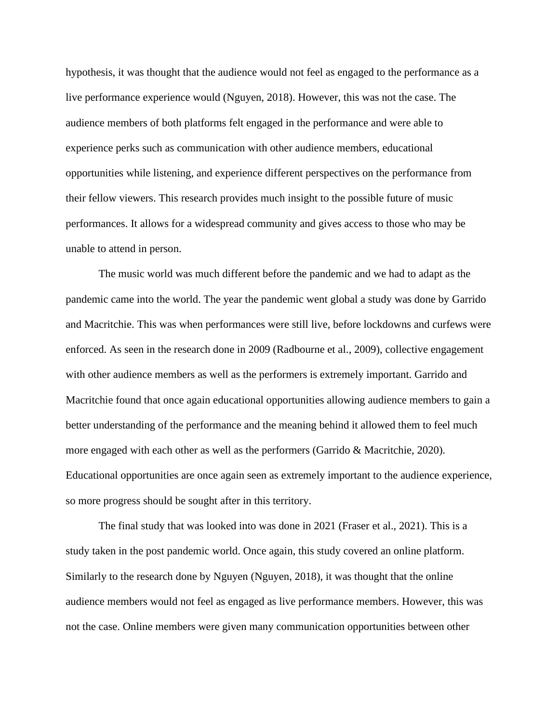hypothesis, it was thought that the audience would not feel as engaged to the performance as a live performance experience would (Nguyen, 2018). However, this was not the case. The audience members of both platforms felt engaged in the performance and were able to experience perks such as communication with other audience members, educational opportunities while listening, and experience different perspectives on the performance from their fellow viewers. This research provides much insight to the possible future of music performances. It allows for a widespread community and gives access to those who may be unable to attend in person.

The music world was much different before the pandemic and we had to adapt as the pandemic came into the world. The year the pandemic went global a study was done by Garrido and Macritchie. This was when performances were still live, before lockdowns and curfews were enforced. As seen in the research done in 2009 (Radbourne et al., 2009), collective engagement with other audience members as well as the performers is extremely important. Garrido and Macritchie found that once again educational opportunities allowing audience members to gain a better understanding of the performance and the meaning behind it allowed them to feel much more engaged with each other as well as the performers (Garrido & Macritchie, 2020). Educational opportunities are once again seen as extremely important to the audience experience, so more progress should be sought after in this territory.

The final study that was looked into was done in 2021 (Fraser et al., 2021). This is a study taken in the post pandemic world. Once again, this study covered an online platform. Similarly to the research done by Nguyen (Nguyen, 2018), it was thought that the online audience members would not feel as engaged as live performance members. However, this was not the case. Online members were given many communication opportunities between other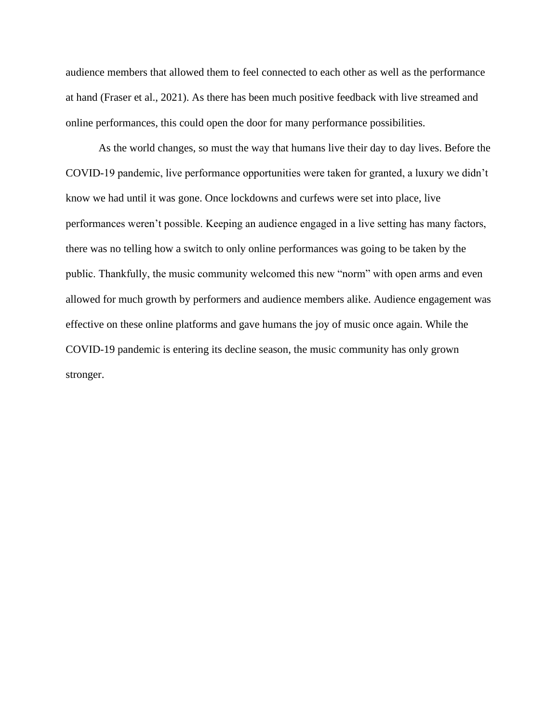audience members that allowed them to feel connected to each other as well as the performance at hand (Fraser et al., 2021). As there has been much positive feedback with live streamed and online performances, this could open the door for many performance possibilities.

As the world changes, so must the way that humans live their day to day lives. Before the COVID-19 pandemic, live performance opportunities were taken for granted, a luxury we didn't know we had until it was gone. Once lockdowns and curfews were set into place, live performances weren't possible. Keeping an audience engaged in a live setting has many factors, there was no telling how a switch to only online performances was going to be taken by the public. Thankfully, the music community welcomed this new "norm" with open arms and even allowed for much growth by performers and audience members alike. Audience engagement was effective on these online platforms and gave humans the joy of music once again. While the COVID-19 pandemic is entering its decline season, the music community has only grown stronger.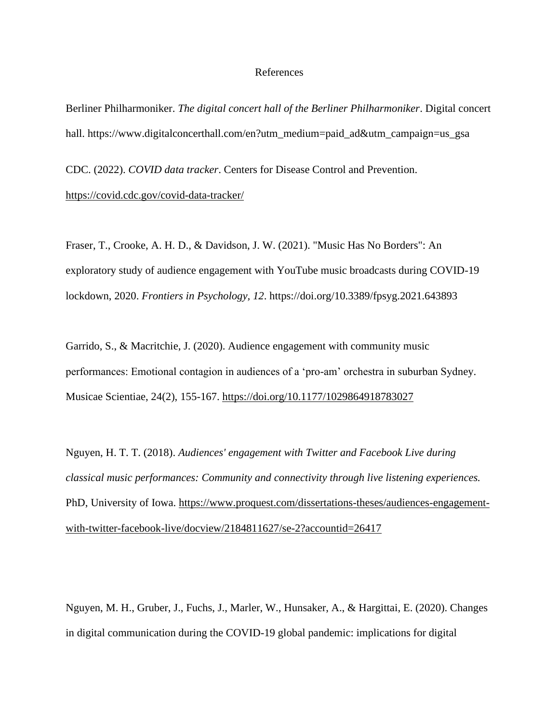## References

Berliner Philharmoniker. *The digital concert hall of the Berliner Philharmoniker*. Digital concert hall. https://www.digitalconcerthall.com/en?utm\_medium=paid\_ad&utm\_campaign=us\_gsa

CDC. (2022). *COVID data tracker*. Centers for Disease Control and Prevention. <https://covid.cdc.gov/covid-data-tracker/>

Fraser, T., Crooke, A. H. D., & Davidson, J. W. (2021). "Music Has No Borders": An exploratory study of audience engagement with YouTube music broadcasts during COVID-19 lockdown, 2020. *Frontiers in Psychology, 12*.<https://doi.org/10.3389/fpsyg.2021.643893>

Garrido, S., & Macritchie, J. (2020). Audience engagement with community music performances: Emotional contagion in audiences of a 'pro-am' orchestra in suburban Sydney. Musicae Scientiae, 24(2), 155-167.<https://doi.org/10.1177/1029864918783027>

Nguyen, H. T. T. (2018). *Audiences' engagement with Twitter and Facebook Live during classical music performances: Community and connectivity through live listening experiences.*  PhD, University of Iowa. [https://www.proquest.com/dissertations-theses/audiences-engagement](https://www.proquest.com/dissertations-theses/audiences-engagement-with-twitter-facebook-live/docview/2184811627/se-2?accountid=26417)[with-twitter-facebook-live/docview/2184811627/se-2?accountid=26417](https://www.proquest.com/dissertations-theses/audiences-engagement-with-twitter-facebook-live/docview/2184811627/se-2?accountid=26417)

Nguyen, M. H., Gruber, J., Fuchs, J., Marler, W., Hunsaker, A., & Hargittai, E. (2020). Changes in digital communication during the COVID-19 global pandemic: implications for digital